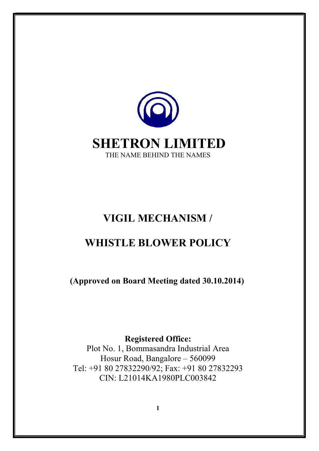

## VIGIL MECHANISM /

# WHISTLE BLOWER POLICY

(Approved on Board Meeting dated 30.10.2014)

Registered Office:

Plot No. 1, Bommasandra Industrial Area Hosur Road, Bangalore – 560099 Tel: +91 80 27832290/92; Fax: +91 80 27832293 CIN: L21014KA1980PLC003842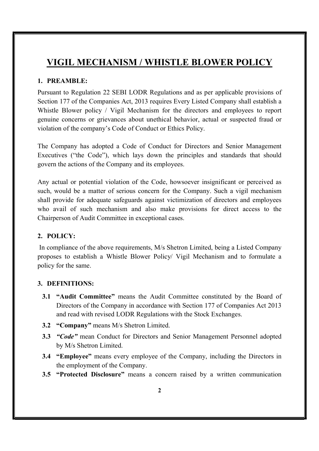## VIGIL MECHANISM / WHISTLE BLOWER POLICY

## 1. PREAMBLE:

Pursuant to Regulation 22 SEBI LODR Regulations and as per applicable provisions of Section 177 of the Companies Act, 2013 requires Every Listed Company shall establish a Whistle Blower policy / Vigil Mechanism for the directors and employees to report genuine concerns or grievances about unethical behavior, actual or suspected fraud or violation of the company's Code of Conduct or Ethics Policy.

The Company has adopted a Code of Conduct for Directors and Senior Management Executives ("the Code"), which lays down the principles and standards that should govern the actions of the Company and its employees.

Any actual or potential violation of the Code, howsoever insignificant or perceived as such, would be a matter of serious concern for the Company. Such a vigil mechanism shall provide for adequate safeguards against victimization of directors and employees who avail of such mechanism and also make provisions for direct access to the Chairperson of Audit Committee in exceptional cases.

## 2. POLICY:

 In compliance of the above requirements, M/s Shetron Limited, being a Listed Company proposes to establish a Whistle Blower Policy/ Vigil Mechanism and to formulate a policy for the same.

#### 3. DEFINITIONS:

- 3.1 "Audit Committee" means the Audit Committee constituted by the Board of Directors of the Company in accordance with Section 177 of Companies Act 2013 and read with revised LODR Regulations with the Stock Exchanges.
- 3.2 "Company" means M/s Shetron Limited.
- 3.3 "Code" mean Conduct for Directors and Senior Management Personnel adopted by M/s Shetron Limited.
- 3.4 "Employee" means every employee of the Company, including the Directors in the employment of the Company.
- 3.5 "Protected Disclosure" means a concern raised by a written communication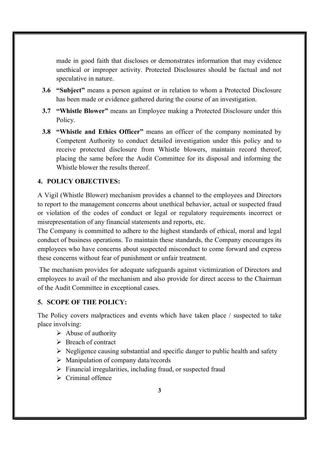made in good faith that discloses or demonstrates information that may evidence unethical or improper activity. Protected Disclosures should be factual and not speculative in nature.

- 3.6 "Subject" means a person against or in relation to whom a Protected Disclosure has been made or evidence gathered during the course of an investigation.
- 3.7 "Whistle Blower" means an Employee making a Protected Disclosure under this Policy.
- 3.8 "Whistle and Ethics Officer" means an officer of the company nominated by Competent Authority to conduct detailed investigation under this policy and to receive protected disclosure from Whistle blowers, maintain record thereof, placing the same before the Audit Committee for its disposal and informing the Whistle blower the results thereof.

## 4. POLICY OBJECTIVES:

A Vigil (Whistle Blower) mechanism provides a channel to the employees and Directors to report to the management concerns about unethical behavior, actual or suspected fraud or violation of the codes of conduct or legal or regulatory requirements incorrect or misrepresentation of any financial statements and reports, etc.

The Company is committed to adhere to the highest standards of ethical, moral and legal conduct of business operations. To maintain these standards, the Company encourages its employees who have concerns about suspected misconduct to come forward and express these concerns without fear of punishment or unfair treatment.

 The mechanism provides for adequate safeguards against victimization of Directors and employees to avail of the mechanism and also provide for direct access to the Chairman of the Audit Committee in exceptional cases.

#### 5. SCOPE OF THE POLICY:

The Policy covers malpractices and events which have taken place / suspected to take place involving:

- $\triangleright$  Abuse of authority
- Breach of contract
- $\triangleright$  Negligence causing substantial and specific danger to public health and safety
- $\triangleright$  Manipulation of company data/records
- $\triangleright$  Financial irregularities, including fraud, or suspected fraud
- $\triangleright$  Criminal offence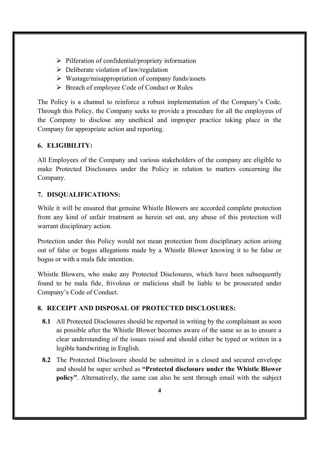- $\triangleright$  Pilferation of confidential/propriety information
- $\triangleright$  Deliberate violation of law/regulation
- $\triangleright$  Wastage/misappropriation of company funds/assets
- Breach of employee Code of Conduct or Rules

The Policy is a channel to reinforce a robust implementation of the Company's Code. Through this Policy, the Company seeks to provide a procedure for all the employees of the Company to disclose any unethical and improper practice taking place in the Company for appropriate action and reporting.

## 6. ELIGIBILITY:

All Employees of the Company and various stakeholders of the company are eligible to make Protected Disclosures under the Policy in relation to matters concerning the Company.

## 7. DISQUALIFICATIONS:

While it will be ensured that genuine Whistle Blowers are accorded complete protection from any kind of unfair treatment as herein set out, any abuse of this protection will warrant disciplinary action.

Protection under this Policy would not mean protection from disciplinary action arising out of false or bogus allegations made by a Whistle Blower knowing it to be false or bogus or with a mala fide intention.

Whistle Blowers, who make any Protected Disclosures, which have been subsequently found to be mala fide, frivolous or malicious shall be liable to be prosecuted under Company's Code of Conduct.

## 8. RECEIPT AND DISPOSAL OF PROTECTED DISCLOSURES:

- 8.1 All Protected Disclosures should be reported in writing by the complainant as soon as possible after the Whistle Blower becomes aware of the same so as to ensure a clear understanding of the issues raised and should either be typed or written in a legible handwriting in English.
- 8.2 The Protected Disclosure should be submitted in a closed and secured envelope and should be super scribed as "Protected disclosure under the Whistle Blower policy". Alternatively, the same can also be sent through email with the subject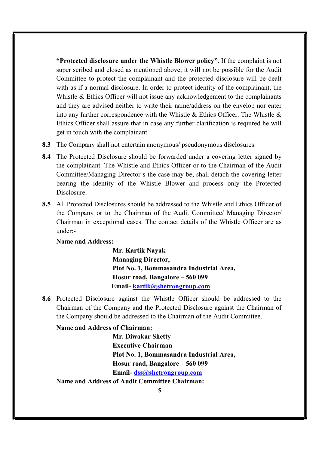"Protected disclosure under the Whistle Blower policy". If the complaint is not super scribed and closed as mentioned above, it will not be possible for the Audit Committee to protect the complainant and the protected disclosure will be dealt with as if a normal disclosure. In order to protect identity of the complainant, the Whistle & Ethics Officer will not issue any acknowledgement to the complainants and they are advised neither to write their name/address on the envelop nor enter into any further correspondence with the Whistle & Ethics Officer. The Whistle & Ethics Officer shall assure that in case any further clarification is required he will get in touch with the complainant.

- 8.3 The Company shall not entertain anonymous/ pseudonymous disclosures.
- 8.4 The Protected Disclosure should be forwarded under a covering letter signed by the complainant. The Whistle and Ethics Officer or to the Chairman of the Audit Committee/Managing Director s the case may be, shall detach the covering letter bearing the identity of the Whistle Blower and process only the Protected Disclosure.
- 8.5 All Protected Disclosures should be addressed to the Whistle and Ethics Officer of the Company or to the Chairman of the Audit Committee/ Managing Director/ Chairman in exceptional cases. The contact details of the Whistle Officer are as under:-

#### Name and Address:

Mr. Kartik Nayak Managing Director, Plot No. 1, Bommasandra Industrial Area, Hosur road, Bangalore – 560 099 Email- kartik@shetrongroup.com

8.6 Protected Disclosure against the Whistle Officer should be addressed to the Chairman of the Company and the Protected Disclosure against the Chairman of the Company should be addressed to the Chairman of the Audit Committee.

#### Name and Address of Chairman:

Mr. Diwakar Shetty Executive Chairman Plot No. 1, Bommasandra Industrial Area, Hosur road, Bangalore – 560 099 Email- dss@shetrongroup.com Name and Address of Audit Committee Chairman: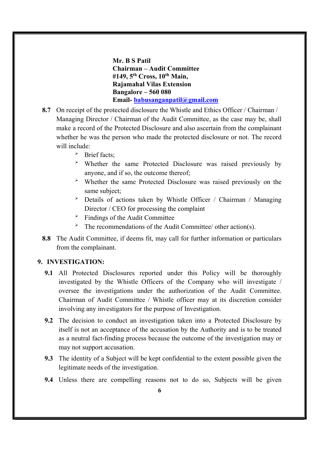Mr. B S Patil Chairman – Audit Committee  $#149$ ,  $5<sup>th</sup> Cross$ ,  $10<sup>th</sup> Main$ , Rajamahal Vilas Extension Bangalore – 560 080 Email- babusanganpatil@gmail.com

- 8.7 On receipt of the protected disclosure the Whistle and Ethics Officer / Chairman / Managing Director / Chairman of the Audit Committee, as the case may be, shall make a record of the Protected Disclosure and also ascertain from the complainant whether he was the person who made the protected disclosure or not. The record will include:
	- > Brief facts;
	- Whether the same Protected Disclosure was raised previously by anyone, and if so, the outcome thereof;
	- Whether the same Protected Disclosure was raised previously on the same subject;
	- Details of actions taken by Whistle Officer / Chairman / Managing Director / CEO for processing the complaint
	- $\geq$  Findings of the Audit Committee
	- $\overrightarrow{P}$  The recommendations of the Audit Committee/ other action(s).
- 8.8 The Audit Committee, if deems fit, may call for further information or particulars from the complainant.

#### 9. INVESTIGATION:

- 9.1 All Protected Disclosures reported under this Policy will be thoroughly investigated by the Whistle Officers of the Company who will investigate / oversee the investigations under the authorization of the Audit Committee. Chairman of Audit Committee / Whistle officer may at its discretion consider involving any investigators for the purpose of Investigation.
- 9.2 The decision to conduct an investigation taken into a Protected Disclosure by itself is not an acceptance of the accusation by the Authority and is to be treated as a neutral fact-finding process because the outcome of the investigation may or may not support accusation.
- 9.3 The identity of a Subject will be kept confidential to the extent possible given the legitimate needs of the investigation.
- 9.4 Unless there are compelling reasons not to do so, Subjects will be given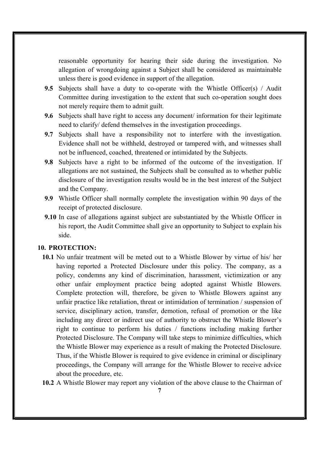reasonable opportunity for hearing their side during the investigation. No allegation of wrongdoing against a Subject shall be considered as maintainable unless there is good evidence in support of the allegation.

- 9.5 Subjects shall have a duty to co-operate with the Whistle Officer(s) / Audit Committee during investigation to the extent that such co-operation sought does not merely require them to admit guilt.
- 9.6 Subjects shall have right to access any document/ information for their legitimate need to clarify/ defend themselves in the investigation proceedings.
- 9.7 Subjects shall have a responsibility not to interfere with the investigation. Evidence shall not be withheld, destroyed or tampered with, and witnesses shall not be influenced, coached, threatened or intimidated by the Subjects.
- 9.8 Subjects have a right to be informed of the outcome of the investigation. If allegations are not sustained, the Subjects shall be consulted as to whether public disclosure of the investigation results would be in the best interest of the Subject and the Company.
- 9.9 Whistle Officer shall normally complete the investigation within 90 days of the receipt of protected disclosure.
- 9.10 In case of allegations against subject are substantiated by the Whistle Officer in his report, the Audit Committee shall give an opportunity to Subject to explain his side.

#### 10. PROTECTION:

- 10.1 No unfair treatment will be meted out to a Whistle Blower by virtue of his/ her having reported a Protected Disclosure under this policy. The company, as a policy, condemns any kind of discrimination, harassment, victimization or any other unfair employment practice being adopted against Whistle Blowers. Complete protection will, therefore, be given to Whistle Blowers against any unfair practice like retaliation, threat or intimidation of termination / suspension of service, disciplinary action, transfer, demotion, refusal of promotion or the like including any direct or indirect use of authority to obstruct the Whistle Blower's right to continue to perform his duties / functions including making further Protected Disclosure. The Company will take steps to minimize difficulties, which the Whistle Blower may experience as a result of making the Protected Disclosure. Thus, if the Whistle Blower is required to give evidence in criminal or disciplinary proceedings, the Company will arrange for the Whistle Blower to receive advice about the procedure, etc.
- 10.2 A Whistle Blower may report any violation of the above clause to the Chairman of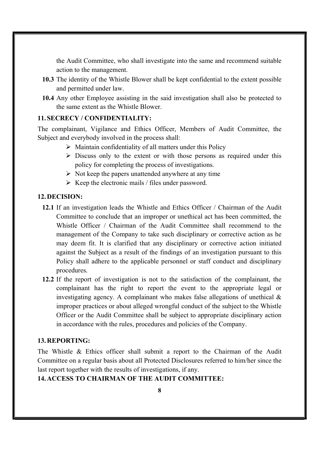the Audit Committee, who shall investigate into the same and recommend suitable action to the management.

- 10.3 The identity of the Whistle Blower shall be kept confidential to the extent possible and permitted under law.
- 10.4 Any other Employee assisting in the said investigation shall also be protected to the same extent as the Whistle Blower.

## 11.SECRECY / CONFIDENTIALITY:

The complainant, Vigilance and Ethics Officer, Members of Audit Committee, the Subject and everybody involved in the process shall:

- $\triangleright$  Maintain confidentiality of all matters under this Policy
- $\triangleright$  Discuss only to the extent or with those persons as required under this policy for completing the process of investigations.
- $\triangleright$  Not keep the papers unattended anywhere at any time
- $\triangleright$  Keep the electronic mails / files under password.

## 12.DECISION:

- 12.1 If an investigation leads the Whistle and Ethics Officer / Chairman of the Audit Committee to conclude that an improper or unethical act has been committed, the Whistle Officer / Chairman of the Audit Committee shall recommend to the management of the Company to take such disciplinary or corrective action as he may deem fit. It is clarified that any disciplinary or corrective action initiated against the Subject as a result of the findings of an investigation pursuant to this Policy shall adhere to the applicable personnel or staff conduct and disciplinary procedures.
- 12.2 If the report of investigation is not to the satisfaction of the complainant, the complainant has the right to report the event to the appropriate legal or investigating agency. A complainant who makes false allegations of unethical & improper practices or about alleged wrongful conduct of the subject to the Whistle Officer or the Audit Committee shall be subject to appropriate disciplinary action in accordance with the rules, procedures and policies of the Company.

#### 13.REPORTING:

The Whistle & Ethics officer shall submit a report to the Chairman of the Audit Committee on a regular basis about all Protected Disclosures referred to him/her since the last report together with the results of investigations, if any.

## 14.ACCESS TO CHAIRMAN OF THE AUDIT COMMITTEE: